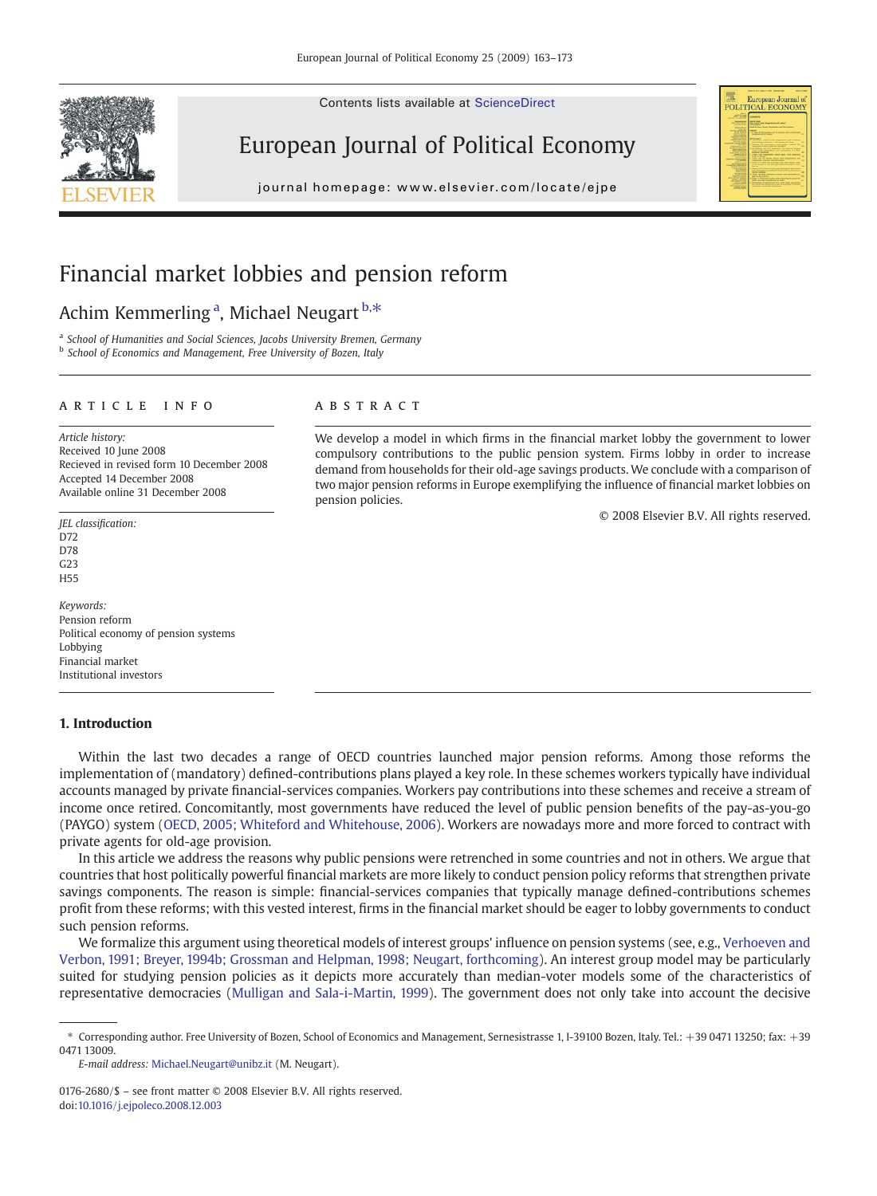Contents lists available at ScienceDirect



European Journal of Political Economy

j o u r n a l h om e p a g e  $\alpha$  ev i e r. c om  $\alpha$  t e  $\alpha$  t e  $\alpha$ 



## Financial market lobbies and pension reform

### Achim Kemmerling <sup>a</sup>, Michael Neugart <sup>b,\*</sup>

<sup>a</sup> School of Humanities and Social Sciences, Jacobs University Bremen, Germany **b** School of Economics and Management, Free University of Bozen, Italy

#### article info abstract

Article history: Received 10 June 2008 Recieved in revised form 10 December 2008 Accepted 14 December 2008 Available online 31 December 2008

D72 D78 G23 H55

Keywords: Pension reform Political economy of pension systems Lobbying Financial market Institutional investors

### 1. Introduction

We develop a model in which firms in the financial market lobby the government to lower compulsory contributions to the public pension system. Firms lobby in order to increase demand from households for their old-age savings products. We conclude with a comparison of two major pension reforms in Europe exemplifying the influence of financial market lobbies on pension policies.

**EL classification:** © 2008 Elsevier B.V. All rights reserved.

Within the last two decades a range of OECD countries launched major pension reforms. Among those reforms the implementation of (mandatory) defined-contributions plans played a key role. In these schemes workers typically have individual accounts managed by private financial-services companies. Workers pay contributions into these schemes and receive a stream of income once retired. Concomitantly, most governments have reduced the level of public pension benefits of the pay-as-you-go (PAYGO) system ([OECD, 2005; Whiteford and Whitehouse, 2006\)](#page--1-0). Workers are nowadays more and more forced to contract with private agents for old-age provision.

In this article we address the reasons why public pensions were retrenched in some countries and not in others. We argue that countries that host politically powerful financial markets are more likely to conduct pension policy reforms that strengthen private savings components. The reason is simple: financial-services companies that typically manage defined-contributions schemes profit from these reforms; with this vested interest, firms in the financial market should be eager to lobby governments to conduct such pension reforms.

We formalize this argument using theoretical models of interest groups' influence on pension systems (see, e.g., [Verhoeven and](#page--1-0) [Verbon, 1991; Breyer, 1994b; Grossman and Helpman, 1998; Neugart, forthcoming](#page--1-0)). An interest group model may be particularly suited for studying pension policies as it depicts more accurately than median-voter models some of the characteristics of representative democracies ([Mulligan and Sala-i-Martin, 1999\)](#page--1-0). The government does not only take into account the decisive

<sup>⁎</sup> Corresponding author. Free University of Bozen, School of Economics and Management, Sernesistrasse 1, I-39100 Bozen, Italy. Tel.: +39 0471 13250; fax: +39 0471 13009.

E-mail address: [Michael.Neugart@unibz.it](mailto:Michael.Neugart@unibz.it) (M. Neugart).

<sup>0176-2680/\$</sup> – see front matter © 2008 Elsevier B.V. All rights reserved. doi[:10.1016/j.ejpoleco.2008.12.003](http://dx.doi.org/10.1016/j.ejpoleco.2008.12.003)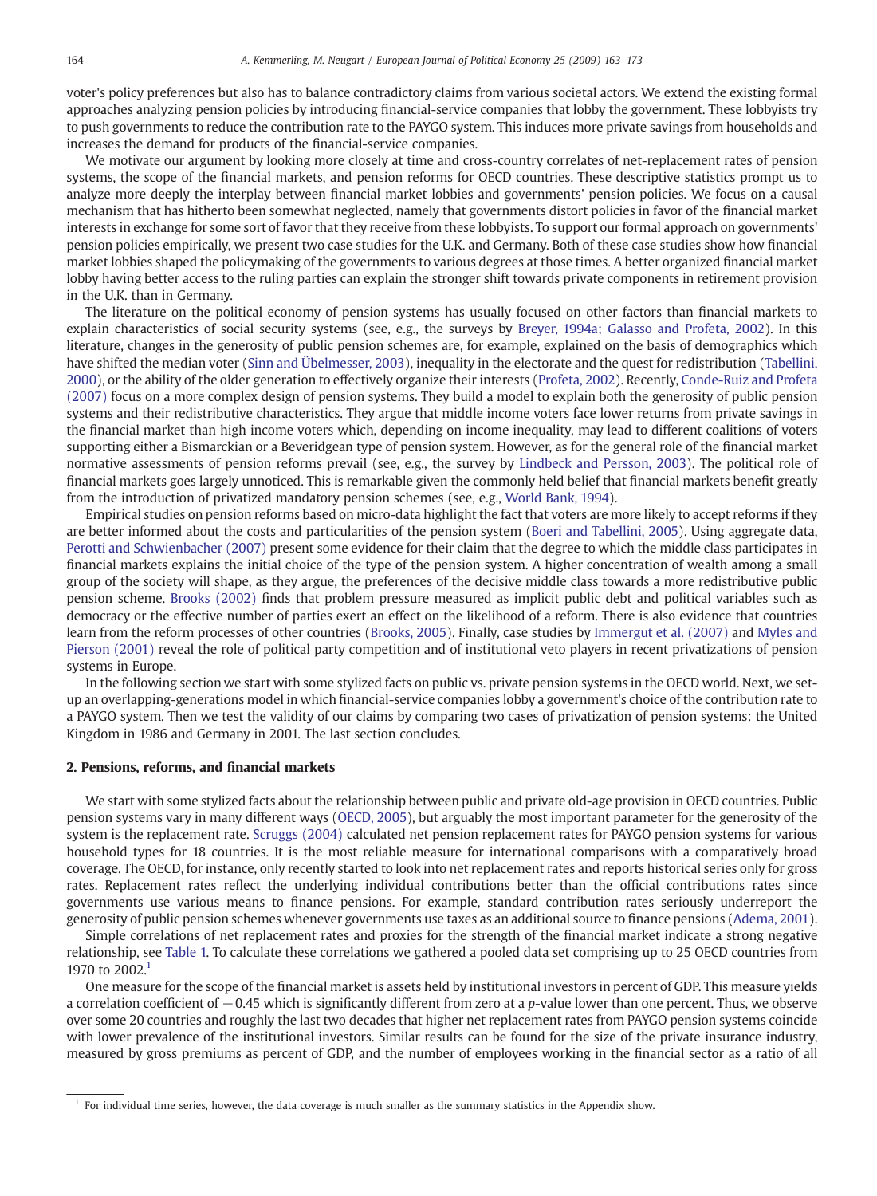voter's policy preferences but also has to balance contradictory claims from various societal actors. We extend the existing formal approaches analyzing pension policies by introducing financial-service companies that lobby the government. These lobbyists try to push governments to reduce the contribution rate to the PAYGO system. This induces more private savings from households and increases the demand for products of the financial-service companies.

We motivate our argument by looking more closely at time and cross-country correlates of net-replacement rates of pension systems, the scope of the financial markets, and pension reforms for OECD countries. These descriptive statistics prompt us to analyze more deeply the interplay between financial market lobbies and governments' pension policies. We focus on a causal mechanism that has hitherto been somewhat neglected, namely that governments distort policies in favor of the financial market interests in exchange for some sort of favor that they receive from these lobbyists. To support our formal approach on governments' pension policies empirically, we present two case studies for the U.K. and Germany. Both of these case studies show how financial market lobbies shaped the policymaking of the governments to various degrees at those times. A better organized financial market lobby having better access to the ruling parties can explain the stronger shift towards private components in retirement provision in the U.K. than in Germany.

The literature on the political economy of pension systems has usually focused on other factors than financial markets to explain characteristics of social security systems (see, e.g., the surveys by [Breyer, 1994a; Galasso and Profeta, 2002\)](#page--1-0). In this literature, changes in the generosity of public pension schemes are, for example, explained on the basis of demographics which have shifted the median voter ([Sinn and Übelmesser, 2003](#page--1-0)), inequality in the electorate and the quest for redistribution ([Tabellini,](#page--1-0) [2000\)](#page--1-0), or the ability of the older generation to effectively organize their interests [\(Profeta, 2002\)](#page--1-0). Recently, [Conde-Ruiz and Profeta](#page--1-0) [\(2007\)](#page--1-0) focus on a more complex design of pension systems. They build a model to explain both the generosity of public pension systems and their redistributive characteristics. They argue that middle income voters face lower returns from private savings in the financial market than high income voters which, depending on income inequality, may lead to different coalitions of voters supporting either a Bismarckian or a Beveridgean type of pension system. However, as for the general role of the financial market normative assessments of pension reforms prevail (see, e.g., the survey by [Lindbeck and Persson, 2003](#page--1-0)). The political role of financial markets goes largely unnoticed. This is remarkable given the commonly held belief that financial markets benefit greatly from the introduction of privatized mandatory pension schemes (see, e.g., [World Bank, 1994](#page--1-0)).

Empirical studies on pension reforms based on micro-data highlight the fact that voters are more likely to accept reforms if they are better informed about the costs and particularities of the pension system ([Boeri and Tabellini, 2005](#page--1-0)). Using aggregate data, [Perotti and Schwienbacher \(2007\)](#page--1-0) present some evidence for their claim that the degree to which the middle class participates in financial markets explains the initial choice of the type of the pension system. A higher concentration of wealth among a small group of the society will shape, as they argue, the preferences of the decisive middle class towards a more redistributive public pension scheme. [Brooks \(2002\)](#page--1-0) finds that problem pressure measured as implicit public debt and political variables such as democracy or the effective number of parties exert an effect on the likelihood of a reform. There is also evidence that countries learn from the reform processes of other countries ([Brooks, 2005](#page--1-0)). Finally, case studies by [Immergut et al. \(2007\)](#page--1-0) and [Myles and](#page--1-0) [Pierson \(2001\)](#page--1-0) reveal the role of political party competition and of institutional veto players in recent privatizations of pension systems in Europe.

In the following section we start with some stylized facts on public vs. private pension systems in the OECD world. Next, we setup an overlapping-generations model in which financial-service companies lobby a government's choice of the contribution rate to a PAYGO system. Then we test the validity of our claims by comparing two cases of privatization of pension systems: the United Kingdom in 1986 and Germany in 2001. The last section concludes.

#### 2. Pensions, reforms, and financial markets

We start with some stylized facts about the relationship between public and private old-age provision in OECD countries. Public pension systems vary in many different ways ([OECD, 2005](#page--1-0)), but arguably the most important parameter for the generosity of the system is the replacement rate. [Scruggs \(2004\)](#page--1-0) calculated net pension replacement rates for PAYGO pension systems for various household types for 18 countries. It is the most reliable measure for international comparisons with a comparatively broad coverage. The OECD, for instance, only recently started to look into net replacement rates and reports historical series only for gross rates. Replacement rates reflect the underlying individual contributions better than the official contributions rates since governments use various means to finance pensions. For example, standard contribution rates seriously underreport the generosity of public pension schemes whenever governments use taxes as an additional source to finance pensions [\(Adema, 2001](#page--1-0)).

Simple correlations of net replacement rates and proxies for the strength of the financial market indicate a strong negative relationship, see [Table 1.](#page--1-0) To calculate these correlations we gathered a pooled data set comprising up to 25 OECD countries from 1970 to 2002.<sup>1</sup>

One measure for the scope of the financial market is assets held by institutional investors in percent of GDP. This measure yields a correlation coefficient of −0.45 which is significantly different from zero at a p-value lower than one percent. Thus, we observe over some 20 countries and roughly the last two decades that higher net replacement rates from PAYGO pension systems coincide with lower prevalence of the institutional investors. Similar results can be found for the size of the private insurance industry, measured by gross premiums as percent of GDP, and the number of employees working in the financial sector as a ratio of all

 $<sup>1</sup>$  For individual time series, however, the data coverage is much smaller as the summary statistics in the Appendix show.</sup>